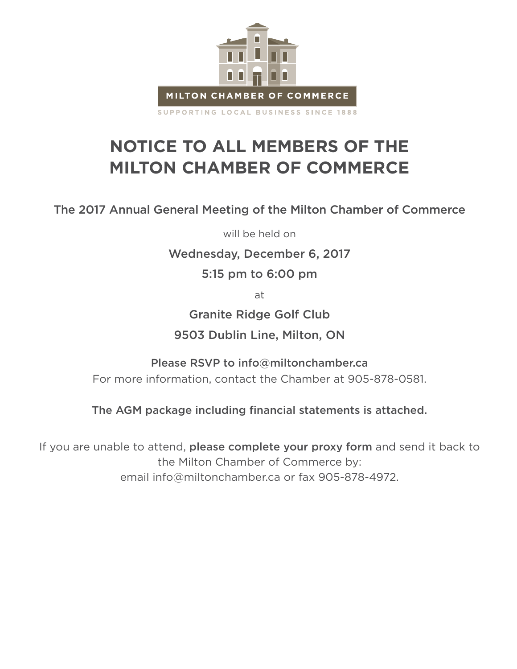

# **NOTICE TO ALL MEMBERS OF THE MILTON CHAMBER OF COMMERCE**

The 2017 Annual General Meeting of the Milton Chamber of Commerce

will be held on

## Wednesday, December 6, 2017

### 5:15 pm to 6:00 pm

at

# Granite Ridge Golf Club 9503 Dublin Line, Milton, ON

Please RSVP to [info@miltonchamber.ca](mailto:info%40miltonchamber.ca?subject=2016%20AGM) For more information, contact the Chamber at 905-878-0581.

The AGM package including financial statements is attached.

If you are unable to attend, please complete your [proxy](https://www.miltonchamber.ca/wp-content/uploads/2016/08/2016-agm-Proxy.pdf) form and send it back to the Milton Chamber of Commerce by: email [info@miltonchamber.ca](mailto:info%40miltonchamber.ca%20?subject=2016%20AGM) or fax 905-878-4972.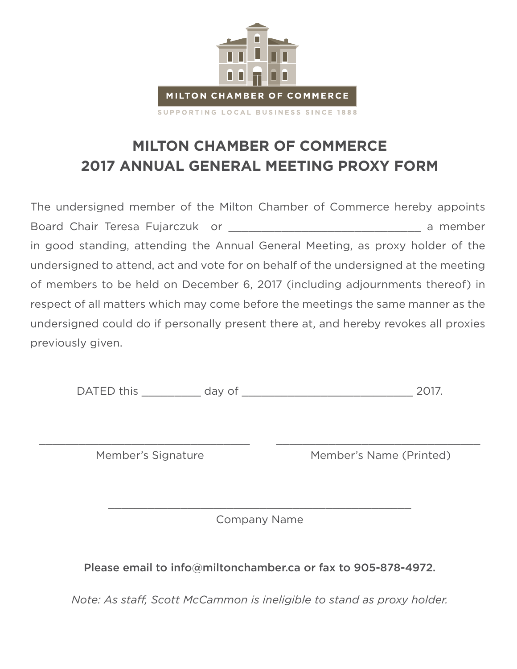

# **MILTON CHAMBER OF COMMERCE 2017 ANNUAL GENERAL MEETING PROXY FORM**

The undersigned member of the Milton Chamber of Commerce hereby appoints Board Chair Teresa Fujarczuk or \_\_\_\_\_\_\_\_\_\_\_\_\_\_\_\_\_\_\_\_\_\_\_\_\_ a member in good standing, attending the Annual General Meeting, as proxy holder of the undersigned to attend, act and vote for on behalf of the undersigned at the meeting of members to be held on December 6, 2017 (including adjournments thereof) in respect of all matters which may come before the meetings the same manner as the undersigned could do if personally present there at, and hereby revokes all proxies previously given.

| <b>DATED</b> this<br>۔ ۱۱۱ ک | $\bigcap$<br>$\sim$<br>◡ |  |
|------------------------------|--------------------------|--|
|------------------------------|--------------------------|--|

 $\_$  , and the set of the set of the set of the set of the set of the set of the set of the set of the set of the set of the set of the set of the set of the set of the set of the set of the set of the set of the set of th

Member's Signature Member's Name (Printed)

\_\_\_\_\_\_\_\_\_\_\_\_\_\_\_\_\_\_\_\_\_\_\_\_\_\_\_\_\_\_\_\_\_\_\_\_\_\_\_\_\_\_\_\_\_\_ Company Name

Please email to [info@miltonchamber.ca](mailto:info%40miltonchamber.ca?subject=) or fax to 905-878-4972.

*Note: As staff, Scott McCammon is ineligible to stand as proxy holder.*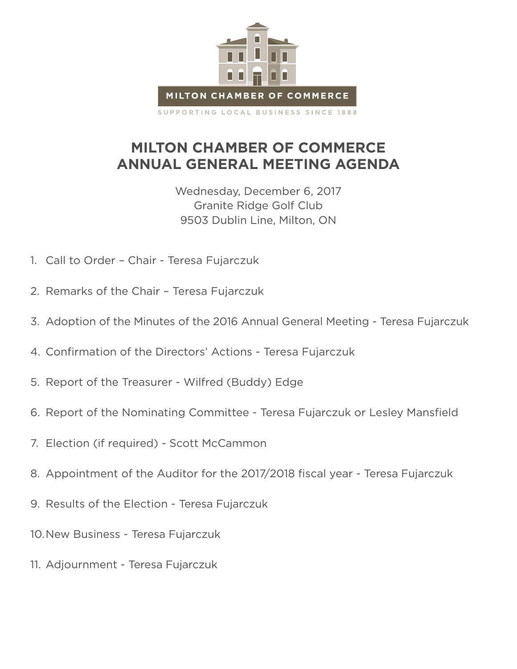

# **MILTON CHAMBER OF COMMERCE ANNUAL GENERAL MEETING AGENDA**

Wednesday, December 6, 2017 Granite Ridge Golf Club 9503 Dublin Line, Milton, ON

- 1. Call to Order Chair Teresa Fujarczuk
- 2. Remarks of the Chair Teresa Fujarczuk
- 3. Adoption of the Minutes of the 2016 Annual General Meeting Teresa Fujarczuk
- 4. Confirmation of the Directors' Actions Teresa Fujarczuk
- 5. Report of the Treasurer Wilfred (Buddy) Edge
- 6. Report of the Nominating Committee Teresa Fujarczuk or Lesley Mansfield
- 7. Election (if required) Scott McCammon
- 8. Appointment of the Auditor for the 2017/2018 fiscal year Teresa Fujarczuk
- 9. Results of the Election Teresa Fujarczuk
- 10.New Business Teresa Fujarczuk
- 11. Adjournment Teresa Fujarczuk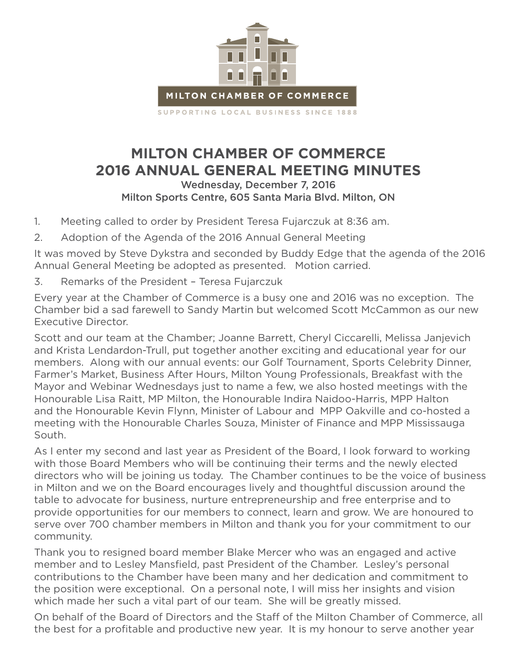

# **MILTON CHAMBER OF COMMERCE 2016 ANNUAL GENERAL MEETING MINUTES**

Wednesday, December 7, 2016 Milton Sports Centre, 605 Santa Maria Blvd. Milton, ON

- 1. Meeting called to order by President Teresa Fujarczuk at 8:36 am.
- 2. Adoption of the Agenda of the 2016 Annual General Meeting

It was moved by Steve Dykstra and seconded by Buddy Edge that the agenda of the 2016 Annual General Meeting be adopted as presented. Motion carried.

3. Remarks of the President – Teresa Fujarczuk

Every year at the Chamber of Commerce is a busy one and 2016 was no exception. The Chamber bid a sad farewell to Sandy Martin but welcomed Scott McCammon as our new Executive Director.

Scott and our team at the Chamber; Joanne Barrett, Cheryl Ciccarelli, Melissa Janjevich and Krista Lendardon-Trull, put together another exciting and educational year for our members. Along with our annual events: our Golf Tournament, Sports Celebrity Dinner, Farmer's Market, Business After Hours, Milton Young Professionals, Breakfast with the Mayor and Webinar Wednesdays just to name a few, we also hosted meetings with the Honourable Lisa Raitt, MP Milton, the Honourable Indira Naidoo-Harris, MPP Halton and the Honourable Kevin Flynn, Minister of Labour and MPP Oakville and co-hosted a meeting with the Honourable Charles Souza, Minister of Finance and MPP Mississauga South.

As I enter my second and last year as President of the Board, I look forward to working with those Board Members who will be continuing their terms and the newly elected directors who will be joining us today. The Chamber continues to be the voice of business in Milton and we on the Board encourages lively and thoughtful discussion around the table to advocate for business, nurture entrepreneurship and free enterprise and to provide opportunities for our members to connect, learn and grow. We are honoured to serve over 700 chamber members in Milton and thank you for your commitment to our community.

Thank you to resigned board member Blake Mercer who was an engaged and active member and to Lesley Mansfield, past President of the Chamber. Lesley's personal contributions to the Chamber have been many and her dedication and commitment to the position were exceptional. On a personal note, I will miss her insights and vision which made her such a vital part of our team. She will be greatly missed.

On behalf of the Board of Directors and the Staff of the Milton Chamber of Commerce, all the best for a profitable and productive new year. It is my honour to serve another year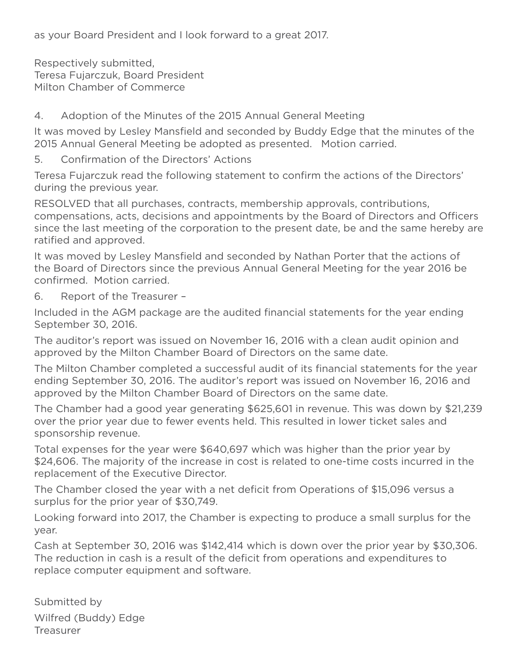as your Board President and I look forward to a great 2017.

Respectively submitted, Teresa Fujarczuk, Board President Milton Chamber of Commerce

4. Adoption of the Minutes of the 2015 Annual General Meeting

It was moved by Lesley Mansfield and seconded by Buddy Edge that the minutes of the 2015 Annual General Meeting be adopted as presented. Motion carried.

5. Confirmation of the Directors' Actions

Teresa Fujarczuk read the following statement to confirm the actions of the Directors' during the previous year.

RESOLVED that all purchases, contracts, membership approvals, contributions, compensations, acts, decisions and appointments by the Board of Directors and Officers since the last meeting of the corporation to the present date, be and the same hereby are ratified and approved.

It was moved by Lesley Mansfield and seconded by Nathan Porter that the actions of the Board of Directors since the previous Annual General Meeting for the year 2016 be confirmed. Motion carried.

6. Report of the Treasurer –

Included in the AGM package are the audited financial statements for the year ending September 30, 2016.

The auditor's report was issued on November 16, 2016 with a clean audit opinion and approved by the Milton Chamber Board of Directors on the same date.

The Milton Chamber completed a successful audit of its financial statements for the year ending September 30, 2016. The auditor's report was issued on November 16, 2016 and approved by the Milton Chamber Board of Directors on the same date.

The Chamber had a good year generating \$625,601 in revenue. This was down by \$21,239 over the prior year due to fewer events held. This resulted in lower ticket sales and sponsorship revenue.

Total expenses for the year were \$640,697 which was higher than the prior year by \$24,606. The majority of the increase in cost is related to one-time costs incurred in the replacement of the Executive Director.

The Chamber closed the year with a net deficit from Operations of \$15,096 versus a surplus for the prior year of \$30,749.

Looking forward into 2017, the Chamber is expecting to produce a small surplus for the year.

Cash at September 30, 2016 was \$142,414 which is down over the prior year by \$30,306. The reduction in cash is a result of the deficit from operations and expenditures to replace computer equipment and software.

Submitted by Wilfred (Buddy) Edge Treasurer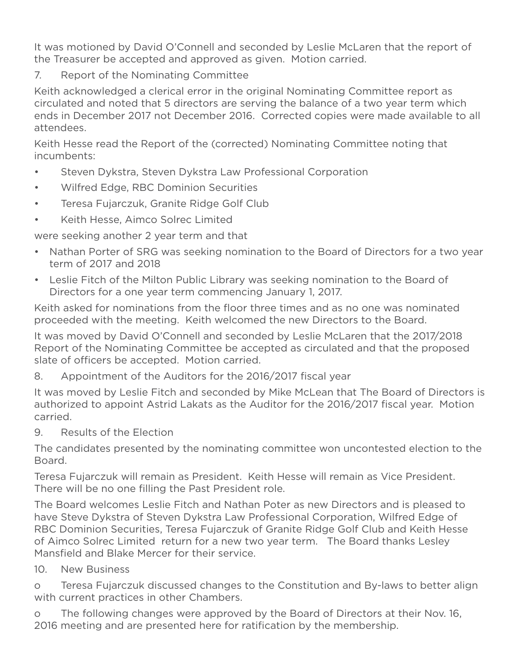It was motioned by David O'Connell and seconded by Leslie McLaren that the report of the Treasurer be accepted and approved as given. Motion carried.

#### 7. Report of the Nominating Committee

Keith acknowledged a clerical error in the original Nominating Committee report as circulated and noted that 5 directors are serving the balance of a two year term which ends in December 2017 not December 2016. Corrected copies were made available to all attendees.

Keith Hesse read the Report of the (corrected) Nominating Committee noting that incumbents:

- Steven Dykstra, Steven Dykstra Law Professional Corporation
- Wilfred Edge, RBC Dominion Securities
- Teresa Fujarczuk, Granite Ridge Golf Club
- Keith Hesse, Aimco Solrec Limited

were seeking another 2 year term and that

- Nathan Porter of SRG was seeking nomination to the Board of Directors for a two year term of 2017 and 2018
- Leslie Fitch of the Milton Public Library was seeking nomination to the Board of Directors for a one year term commencing January 1, 2017.

Keith asked for nominations from the floor three times and as no one was nominated proceeded with the meeting. Keith welcomed the new Directors to the Board.

It was moved by David O'Connell and seconded by Leslie McLaren that the 2017/2018 Report of the Nominating Committee be accepted as circulated and that the proposed slate of officers be accepted. Motion carried.

8. Appointment of the Auditors for the 2016/2017 fiscal year

It was moved by Leslie Fitch and seconded by Mike McLean that The Board of Directors is authorized to appoint Astrid Lakats as the Auditor for the 2016/2017 fiscal year. Motion carried.

9. Results of the Election

The candidates presented by the nominating committee won uncontested election to the Board.

Teresa Fujarczuk will remain as President. Keith Hesse will remain as Vice President. There will be no one filling the Past President role.

The Board welcomes Leslie Fitch and Nathan Poter as new Directors and is pleased to have Steve Dykstra of Steven Dykstra Law Professional Corporation, Wilfred Edge of RBC Dominion Securities, Teresa Fujarczuk of Granite Ridge Golf Club and Keith Hesse of Aimco Solrec Limited return for a new two year term. The Board thanks Lesley Mansfield and Blake Mercer for their service.

10. New Business

o Teresa Fujarczuk discussed changes to the Constitution and By-laws to better align with current practices in other Chambers.

o The following changes were approved by the Board of Directors at their Nov. 16, 2016 meeting and are presented here for ratification by the membership.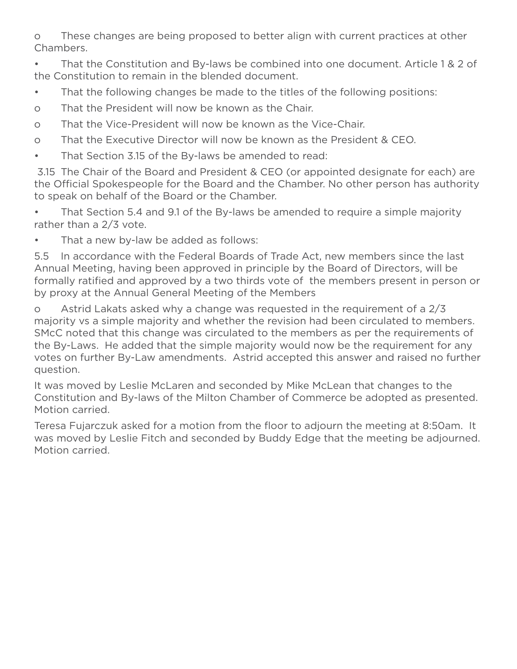o These changes are being proposed to better align with current practices at other Chambers.

• That the Constitution and By-laws be combined into one document. Article 1 & 2 of the Constitution to remain in the blended document.

- That the following changes be made to the titles of the following positions:
- o That the President will now be known as the Chair.
- o That the Vice-President will now be known as the Vice-Chair.
- o That the Executive Director will now be known as the President & CEO.
- That Section 3.15 of the By-laws be amended to read:

 3.15 The Chair of the Board and President & CEO (or appointed designate for each) are the Official Spokespeople for the Board and the Chamber. No other person has authority to speak on behalf of the Board or the Chamber.

• That Section 5.4 and 9.1 of the By-laws be amended to require a simple majority rather than a 2/3 vote.

• That a new by-law be added as follows:

5.5 In accordance with the Federal Boards of Trade Act, new members since the last Annual Meeting, having been approved in principle by the Board of Directors, will be formally ratified and approved by a two thirds vote of the members present in person or by proxy at the Annual General Meeting of the Members

o Astrid Lakats asked why a change was requested in the requirement of a 2/3 majority vs a simple majority and whether the revision had been circulated to members. SMcC noted that this change was circulated to the members as per the requirements of the By-Laws. He added that the simple majority would now be the requirement for any votes on further By-Law amendments. Astrid accepted this answer and raised no further question.

It was moved by Leslie McLaren and seconded by Mike McLean that changes to the Constitution and By-laws of the Milton Chamber of Commerce be adopted as presented. Motion carried.

Teresa Fujarczuk asked for a motion from the floor to adjourn the meeting at 8:50am. It was moved by Leslie Fitch and seconded by Buddy Edge that the meeting be adjourned. Motion carried.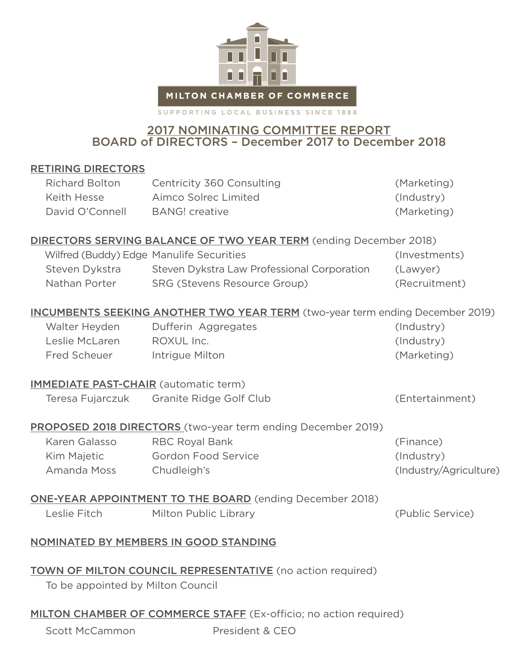

#### 2017 NOMINATING COMMITTEE REPORT BOARD of DIRECTORS – December 2017 to December 2018

#### RETIRING DIRECTORS

|                                                                   | <b>Richard Bolton</b>                    | Centricity 360 Consulting                   | (Marketing)   |
|-------------------------------------------------------------------|------------------------------------------|---------------------------------------------|---------------|
|                                                                   | Keith Hesse                              | Aimco Solrec Limited                        | (Industry)    |
|                                                                   | David O'Connell                          | <b>BANG!</b> creative                       | (Marketing)   |
|                                                                   |                                          |                                             |               |
| DIRECTORS SERVING BALANCE OF TWO YEAR TERM (ending December 2018) |                                          |                                             |               |
|                                                                   | Wilfred (Buddy) Edge Manulife Securities |                                             | (Investments) |
|                                                                   | Steven Dykstra                           | Steven Dykstra Law Professional Corporation | (Lawyer)      |

Nathan Porter SRG (Stevens Resource Group) (Recruitment)

#### INCUMBENTS SEEKING ANOTHER TWO YEAR TERM (two-year term ending December 2019)

| Walter Heyden       | Dufferin Aggregates | (Industry)  |
|---------------------|---------------------|-------------|
| Leslie McLaren      | ROXUL Inc.          | (Industry)  |
| <b>Fred Scheuer</b> | Intrigue Milton     | (Marketing) |
|                     |                     |             |

#### IMMEDIATE PAST-CHAIR (automatic term)

| <b>Granite Ridge Golf Club</b><br>(Entertainment)<br>Teresa Fujarczuk |  |  |  |
|-----------------------------------------------------------------------|--|--|--|

#### PROPOSED 2018 DIRECTORS (two-year term ending December 2019)

| Karen Galasso | RBC Royal Bank      | (Finance)              |
|---------------|---------------------|------------------------|
| Kim Majetic   | Gordon Food Service | (Industry)             |
| Amanda Moss   | Chudleigh's         | (Industry/Agriculture) |

(Public Service)

#### ONE-YEAR APPOINTMENT TO THE BOARD (ending December 2018)

| Leslie Fitch | Milton Public Library |  |
|--------------|-----------------------|--|

#### NOMINATED BY MEMBERS IN GOOD STANDING

TOWN OF MILTON COUNCIL REPRESENTATIVE (no action required)

To be appointed by Milton Council

#### MILTON CHAMBER OF COMMERCE STAFF (Ex-officio; no action required)

Scott McCammon President & CEO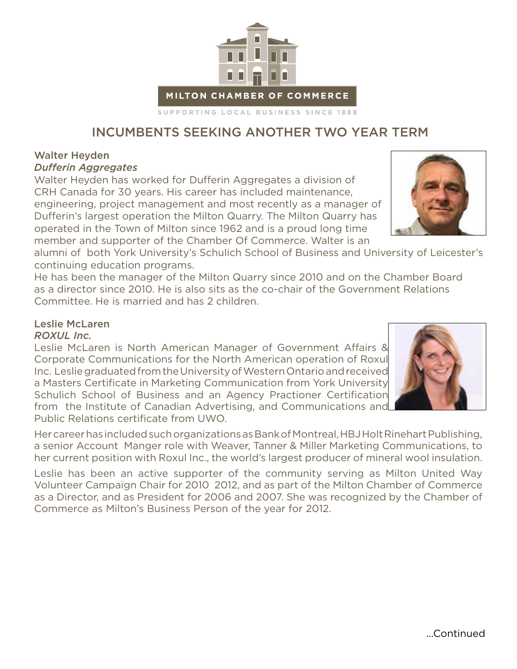

Her career has included such organizations as Bank of Montreal, HBJ Holt Rinehart Publishing, a senior Account Manger role with Weaver, Tanner & Miller Marketing Communications, to her current position with Roxul Inc., the world's largest producer of mineral wool insulation.

Leslie has been an active supporter of the community serving as Milton United Way Volunteer Campaign Chair for 2010 2012, and as part of the Milton Chamber of Commerce as a Director, and as President for 2006 and 2007. She was recognized by the Chamber of

Corporate Communications for the North American operation of Roxul Inc. Leslie graduated from the University of Western Ontario and received a Masters Certificate in Marketing Communication from York University Schulich School of Business and an Agency Practioner Certification from the Institute of Canadian Advertising, and Communications and

Leslie McLaren

Public Relations certificate from UWO.

Walter Heyden

*Dufferin Aggregates*

## *ROXUL Inc.*

member and supporter of the Chamber Of Commerce. Walter is an

Leslie McLaren is North American Manager of Government Affairs &

Commerce as Milton's Business Person of the year for 2012.

Walter Heyden has worked for Dufferin Aggregates a division of CRH Canada for 30 years. His career has included maintenance,

alumni of both York University's Schulich School of Business and University of Leicester's

continuing education programs.

He has been the manager of the Milton Quarry since 2010 and on the Chamber Board as a director since 2010. He is also sits as the co-chair of the Government Relations

Committee. He is married and has 2 children.

MILTON CHAMBER OF COMMERCE SUPPORTING LOCAL BUSINESS SINCE 1888





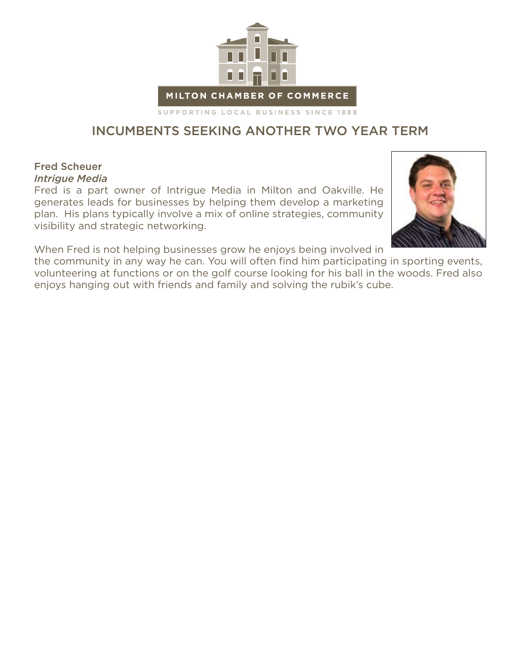

## INCUMBENTS SEEKING ANOTHER TWO YEAR TERM

#### Fred Scheuer *Intrigue Media*

Fred is a part owner of Intrigue Media in Milton and Oakville. He generates leads for businesses by helping them develop a marketing plan. His plans typically involve a mix of online strategies, community visibility and strategic networking.



When Fred is not helping businesses grow he enjoys being involved in

the community in any way he can. You will often find him participating in sporting events, volunteering at functions or on the golf course looking for his ball in the woods. Fred also enjoys hanging out with friends and family and solving the rubik's cube.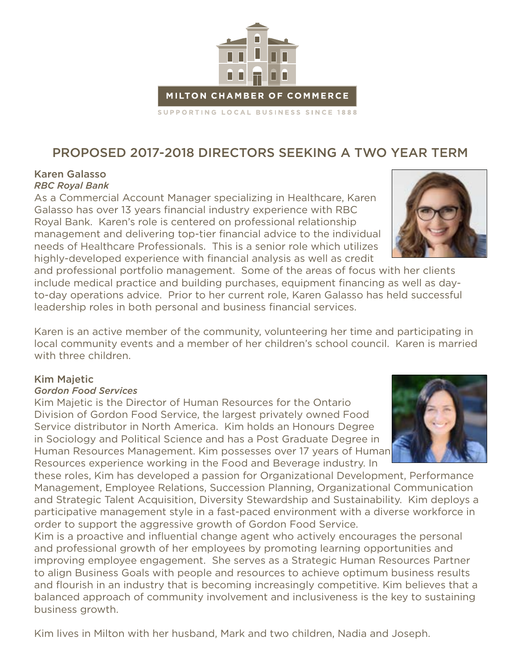

## PROPOSED 2017-2018 DIRECTORS SEEKING A TWO YEAR TERM

#### Karen Galasso *RBC Royal Bank*

As a Commercial Account Manager specializing in Healthcare, Karen Galasso has over 13 years financial industry experience with RBC Royal Bank. Karen's role is centered on professional relationship management and delivering top-tier financial advice to the individual needs of Healthcare Professionals. This is a senior role which utilizes highly-developed experience with financial analysis as well as credit

and professional portfolio management. Some of the areas of focus with her clients include medical practice and building purchases, equipment financing as well as dayto-day operations advice. Prior to her current role, Karen Galasso has held successful leadership roles in both personal and business financial services.

Karen is an active member of the community, volunteering her time and participating in local community events and a member of her children's school council. Karen is married with three children.

#### Kim Majetic

#### *Gordon Food Services*

Kim Majetic is the Director of Human Resources for the Ontario Division of Gordon Food Service, the largest privately owned Food Service distributor in North America. Kim holds an Honours Degree in Sociology and Political Science and has a Post Graduate Degree in Human Resources Management. Kim possesses over 17 years of Human Resources experience working in the Food and Beverage industry. In

these roles, Kim has developed a passion for Organizational Development, Performance Management, Employee Relations, Succession Planning, Organizational Communication and Strategic Talent Acquisition, Diversity Stewardship and Sustainability. Kim deploys a participative management style in a fast-paced environment with a diverse workforce in order to support the aggressive growth of Gordon Food Service.

Kim is a proactive and influential change agent who actively encourages the personal and professional growth of her employees by promoting learning opportunities and improving employee engagement. She serves as a Strategic Human Resources Partner to align Business Goals with people and resources to achieve optimum business results and flourish in an industry that is becoming increasingly competitive. Kim believes that a balanced approach of community involvement and inclusiveness is the key to sustaining business growth.

Kim lives in Milton with her husband, Mark and two children, Nadia and Joseph.



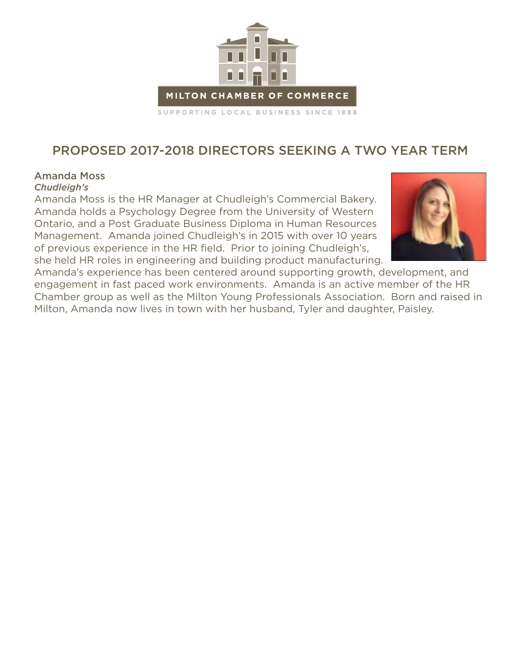

# PROPOSED 2017-2018 DIRECTORS SEEKING A TWO YEAR TERM

## Amanda Moss

*Chudleigh's*

Amanda Moss is the HR Manager at Chudleigh's Commercial Bakery. Amanda holds a Psychology Degree from the University of Western Ontario, and a Post Graduate Business Diploma in Human Resources Management. Amanda joined Chudleigh's in 2015 with over 10 years of previous experience in the HR field. Prior to joining Chudleigh's, she held HR roles in engineering and building product manufacturing.



Amanda's experience has been centered around supporting growth, development, and engagement in fast paced work environments. Amanda is an active member of the HR Chamber group as well as the Milton Young Professionals Association. Born and raised in Milton, Amanda now lives in town with her husband, Tyler and daughter, Paisley.